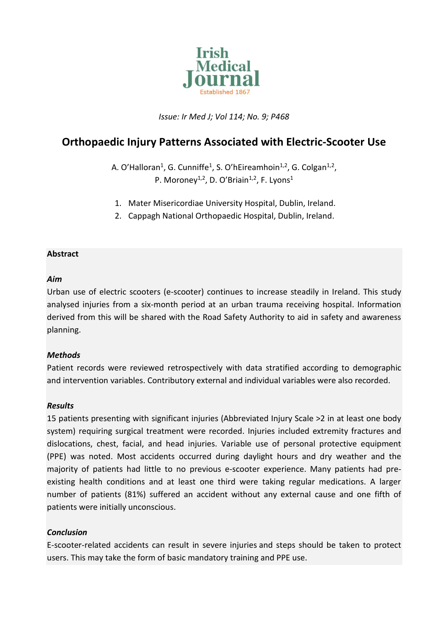

*Issue: Ir Med J; Vol 114; No. 9; P468*

# **Orthopaedic Injury Patterns Associated with Electric-Scooter Use**

A. O'Halloran<sup>1</sup>, G. Cunniffe<sup>1</sup>, S. O'hEireamhoin<sup>1,2</sup>, G. Colgan<sup>1,2</sup>, P. Moroney<sup>1,2</sup>, D. O'Briain<sup>1,2</sup>, F. Lyons<sup>1</sup>

- 1. Mater Misericordiae University Hospital, Dublin, Ireland.
- 2. Cappagh National Orthopaedic Hospital, Dublin, Ireland.

## **Abstract**

#### *Aim*

Urban use of electric scooters (e-scooter) continues to increase steadily in Ireland. This study analysed injuries from a six-month period at an urban trauma receiving hospital. Information derived from this will be shared with the Road Safety Authority to aid in safety and awareness planning.

# *Methods*

Patient records were reviewed retrospectively with data stratified according to demographic and intervention variables. Contributory external and individual variables were also recorded.

# *Results*

15 patients presenting with significant injuries (Abbreviated Injury Scale >2 in at least one body system) requiring surgical treatment were recorded. Injuries included extremity fractures and dislocations, chest, facial, and head injuries. Variable use of personal protective equipment (PPE) was noted. Most accidents occurred during daylight hours and dry weather and the majority of patients had little to no previous e-scooter experience. Many patients had preexisting health conditions and at least one third were taking regular medications. A larger number of patients (81%) suffered an accident without any external cause and one fifth of patients were initially unconscious.

# *Conclusion*

E-scooter-related accidents can result in severe injuries and steps should be taken to protect users. This may take the form of basic mandatory training and PPE use.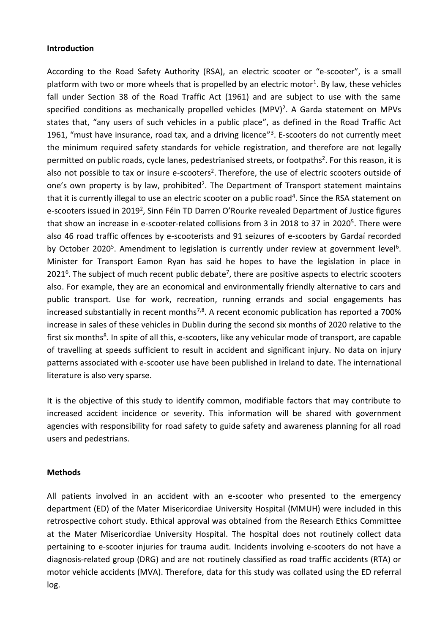#### **Introduction**

According to the Road Safety Authority (RSA), an electric scooter or "e-scooter", is a small platform with two or more wheels that is propelled by an electric motor<sup>1</sup>. By law, these vehicles fall under Section 38 of the Road Traffic Act (1961) and are subject to use with the same specified conditions as mechanically propelled vehicles (MPV)<sup>2</sup>. A Garda statement on MPVs states that, "any users of such vehicles in a public place", as defined in the Road Traffic Act 1961, "must have insurance, road tax, and a driving licence"<sup>3</sup>. E-scooters do not currently meet the minimum required safety standards for vehicle registration, and therefore are not legally permitted on public roads, cycle lanes, pedestrianised streets, or footpaths<sup>2</sup>. For this reason, it is also not possible to tax or insure e-scooters<sup>2</sup>. Therefore, the use of electric scooters outside of one's own property is by law, prohibited<sup>2</sup>. The Department of Transport statement maintains that it is currently illegal to use an electric scooter on a public road<sup>4</sup>. Since the RSA statement on e-scooters issued in 2019<sup>2</sup>, Sinn Féin TD Darren O'Rourke revealed Department of Justice figures that show an increase in e-scooter-related collisions from 3 in 2018 to 37 in 2020<sup>5</sup>. There were also 46 road traffic offences by e-scooterists and 91 seizures of e-scooters by Gardaí recorded by October 2020<sup>5</sup>. Amendment to legislation is currently under review at government level<sup>6</sup>. Minister for Transport Eamon Ryan has said he hopes to have the legislation in place in 2021<sup>6</sup>. The subject of much recent public debate<sup>7</sup>, there are positive aspects to electric scooters also. For example, they are an economical and environmentally friendly alternative to cars and public transport. Use for work, recreation, running errands and social engagements has increased substantially in recent months<sup>7,8</sup>. A recent economic publication has reported a 700% increase in sales of these vehicles in Dublin during the second six months of 2020 relative to the first six months<sup>8</sup>. In spite of all this, e-scooters, like any vehicular mode of transport, are capable of travelling at speeds sufficient to result in accident and significant injury. No data on injury patterns associated with e-scooter use have been published in Ireland to date. The international literature is also very sparse.

It is the objective of this study to identify common, modifiable factors that may contribute to increased accident incidence or severity. This information will be shared with government agencies with responsibility for road safety to guide safety and awareness planning for all road users and pedestrians.

#### **Methods**

All patients involved in an accident with an e-scooter who presented to the emergency department (ED) of the Mater Misericordiae University Hospital (MMUH) were included in this retrospective cohort study. Ethical approval was obtained from the Research Ethics Committee at the Mater Misericordiae University Hospital. The hospital does not routinely collect data pertaining to e-scooter injuries for trauma audit. Incidents involving e-scooters do not have a diagnosis-related group (DRG) and are not routinely classified as road traffic accidents (RTA) or motor vehicle accidents (MVA). Therefore, data for this study was collated using the ED referral log.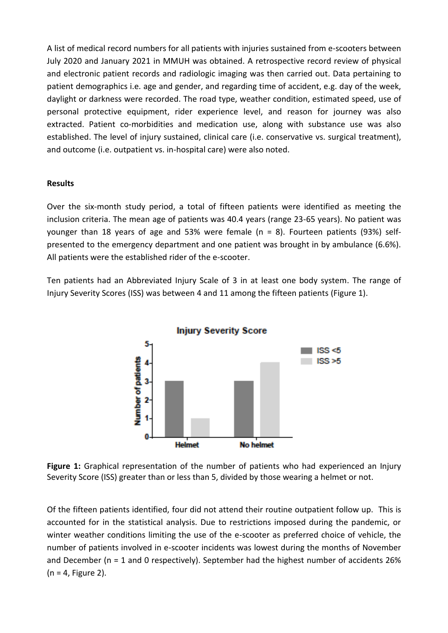A list of medical record numbers for all patients with injuries sustained from e-scooters between July 2020 and January 2021 in MMUH was obtained. A retrospective record review of physical and electronic patient records and radiologic imaging was then carried out. Data pertaining to patient demographics i.e. age and gender, and regarding time of accident, e.g. day of the week, daylight or darkness were recorded. The road type, weather condition, estimated speed, use of personal protective equipment, rider experience level, and reason for journey was also extracted. Patient co-morbidities and medication use, along with substance use was also established. The level of injury sustained, clinical care (i.e. conservative vs. surgical treatment), and outcome (i.e. outpatient vs. in-hospital care) were also noted.

## **Results**

Over the six-month study period, a total of fifteen patients were identified as meeting the inclusion criteria. The mean age of patients was 40.4 years (range 23-65 years). No patient was younger than 18 years of age and 53% were female ( $n = 8$ ). Fourteen patients (93%) selfpresented to the emergency department and one patient was brought in by ambulance (6.6%). All patients were the established rider of the e-scooter.

Ten patients had an Abbreviated Injury Scale of 3 in at least one body system. The range of Injury Severity Scores (ISS) was between 4 and 11 among the fifteen patients (Figure 1).



**Figure 1:** Graphical representation of the number of patients who had experienced an Injury Severity Score (ISS) greater than or less than 5, divided by those wearing a helmet or not.

Of the fifteen patients identified, four did not attend their routine outpatient follow up. This is accounted for in the statistical analysis. Due to restrictions imposed during the pandemic, or winter weather conditions limiting the use of the e-scooter as preferred choice of vehicle, the number of patients involved in e-scooter incidents was lowest during the months of November and December ( $n = 1$  and 0 respectively). September had the highest number of accidents 26%  $(n = 4,$  Figure 2).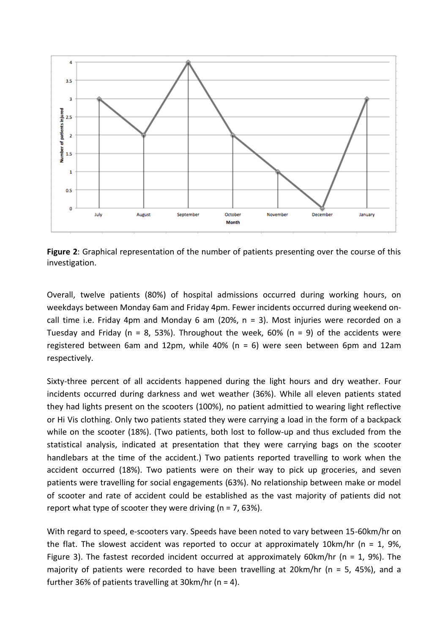

**Figure 2**: Graphical representation of the number of patients presenting over the course of this investigation.

Overall, twelve patients (80%) of hospital admissions occurred during working hours, on weekdays between Monday 6am and Friday 4pm. Fewer incidents occurred during weekend oncall time i.e. Friday 4pm and Monday 6 am (20%,  $n = 3$ ). Most injuries were recorded on a Tuesday and Friday ( $n = 8$ , 53%). Throughout the week, 60% ( $n = 9$ ) of the accidents were registered between 6am and 12pm, while 40% (n = 6) were seen between 6pm and 12am respectively.

Sixty-three percent of all accidents happened during the light hours and dry weather. Four incidents occurred during darkness and wet weather (36%). While all eleven patients stated they had lights present on the scooters (100%), no patient admittied to wearing light reflective or Hi Vis clothing. Only two patients stated they were carrying a load in the form of a backpack while on the scooter (18%). (Two patients, both lost to follow-up and thus excluded from the statistical analysis, indicated at presentation that they were carrying bags on the scooter handlebars at the time of the accident.) Two patients reported travelling to work when the accident occurred (18%). Two patients were on their way to pick up groceries, and seven patients were travelling for social engagements (63%). No relationship between make or model of scooter and rate of accident could be established as the vast majority of patients did not report what type of scooter they were driving ( $n = 7,63\%$ ).

With regard to speed, e-scooters vary. Speeds have been noted to vary between 15-60km/hr on the flat. The slowest accident was reported to occur at approximately 10km/hr ( $n = 1$ , 9%, Figure 3). The fastest recorded incident occurred at approximately 60km/hr ( $n = 1$ , 9%). The majority of patients were recorded to have been travelling at 20 km/hr ( $n = 5$ , 45%), and a further 36% of patients travelling at 30 km/hr ( $n = 4$ ).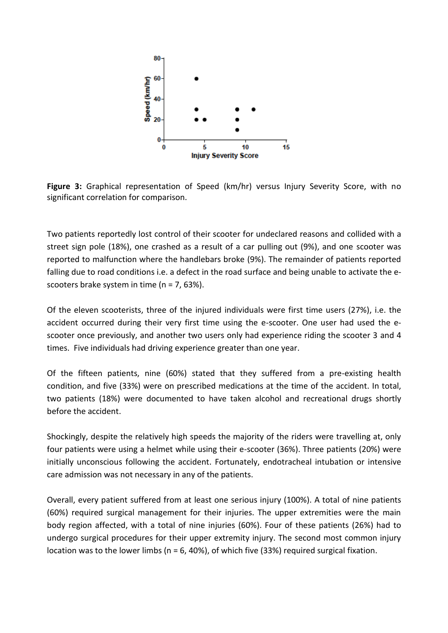

**Figure 3:** Graphical representation of Speed (km/hr) versus Injury Severity Score, with no significant correlation for comparison.

Two patients reportedly lost control of their scooter for undeclared reasons and collided with a street sign pole (18%), one crashed as a result of a car pulling out (9%), and one scooter was reported to malfunction where the handlebars broke (9%). The remainder of patients reported falling due to road conditions i.e. a defect in the road surface and being unable to activate the escooters brake system in time (n = 7, 63%).

Of the eleven scooterists, three of the injured individuals were first time users (27%), i.e. the accident occurred during their very first time using the e-scooter. One user had used the escooter once previously, and another two users only had experience riding the scooter 3 and 4 times. Five individuals had driving experience greater than one year.

Of the fifteen patients, nine (60%) stated that they suffered from a pre-existing health condition, and five (33%) were on prescribed medications at the time of the accident. In total, two patients (18%) were documented to have taken alcohol and recreational drugs shortly before the accident.

Shockingly, despite the relatively high speeds the majority of the riders were travelling at, only four patients were using a helmet while using their e-scooter (36%). Three patients (20%) were initially unconscious following the accident. Fortunately, endotracheal intubation or intensive care admission was not necessary in any of the patients.

Overall, every patient suffered from at least one serious injury (100%). A total of nine patients (60%) required surgical management for their injuries. The upper extremities were the main body region affected, with a total of nine injuries (60%). Four of these patients (26%) had to undergo surgical procedures for their upper extremity injury. The second most common injury location was to the lower limbs ( $n = 6$ , 40%), of which five (33%) required surgical fixation.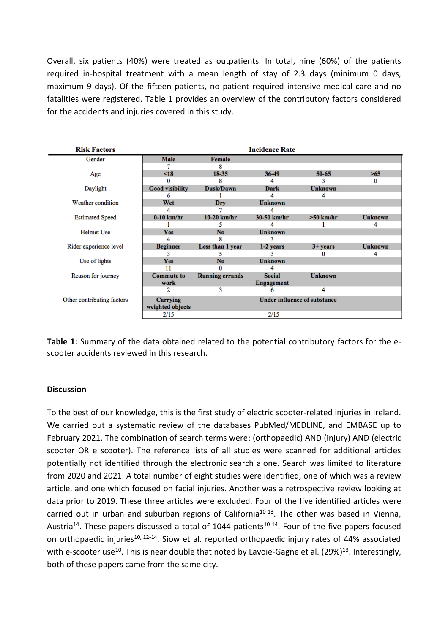Overall, six patients (40%) were treated as outpatients. In total, nine (60%) of the patients required in-hospital treatment with a mean length of stay of 2.3 days (minimum 0 days, maximum 9 days). Of the fifteen patients, no patient required intensive medical care and no fatalities were registered. Table 1 provides an overview of the contributory factors considered for the accidents and injuries covered in this study.

| <b>Risk Factors</b>        |                        |                                     | <b>Incidence Rate</b> |                |                |
|----------------------------|------------------------|-------------------------------------|-----------------------|----------------|----------------|
| Gender                     | Male                   | Female                              |                       |                |                |
|                            |                        | 8                                   |                       |                |                |
| Age                        | $\leq$ 18              | 18-35                               | 36-49                 | 50-65          | >65            |
|                            | 0                      | R                                   |                       |                | 0              |
| Daylight                   | <b>Good visibility</b> | Dusk/Dawn                           | <b>Dark</b>           | <b>Unknown</b> |                |
|                            | 6                      |                                     |                       |                |                |
| Weather condition          | Wet                    | Dry                                 | <b>Unknown</b>        |                |                |
|                            | Δ                      |                                     |                       |                |                |
| <b>Estimated Speed</b>     | $0-10$ km/hr           | $10-20$ km/hr                       | 30-50 km/hr           | $>50$ km/hr    | <b>Unknown</b> |
|                            |                        |                                     |                       |                |                |
| Helmet Use                 | <b>Yes</b>             | N <sub>0</sub>                      | <b>Unknown</b>        |                |                |
|                            |                        | R                                   |                       |                |                |
| Rider experience level     | <b>Beginner</b>        | Less than 1 year                    | 1-2 years             | $3 + y ears$   | <b>Unknown</b> |
|                            |                        |                                     |                       |                |                |
| Use of lights              | Yes                    | N <sub>0</sub>                      | <b>Unknown</b>        |                |                |
|                            | 11                     | $\bf{0}$                            |                       |                |                |
| Reason for journey         | <b>Commute to</b>      | <b>Running errands</b>              | <b>Social</b>         | <b>Unknown</b> |                |
|                            | work                   |                                     | <b>Engagement</b>     |                |                |
|                            |                        | 3                                   | 6                     | 4              |                |
| Other contributing factors | Carrying               | <b>Under influence of substance</b> |                       |                |                |
|                            | weighted objects       |                                     |                       |                |                |
|                            | 2/15                   |                                     | 2/15                  |                |                |

**Table 1:** Summary of the data obtained related to the potential contributory factors for the escooter accidents reviewed in this research.

#### **Discussion**

To the best of our knowledge, this is the first study of electric scooter-related injuries in Ireland. We carried out a systematic review of the databases PubMed/MEDLINE, and EMBASE up to February 2021. The combination of search terms were: (orthopaedic) AND (injury) AND (electric scooter OR e scooter). The reference lists of all studies were scanned for additional articles potentially not identified through the electronic search alone. Search was limited to literature from 2020 and 2021. A total number of eight studies were identified, one of which was a review article, and one which focused on facial injuries. Another was a retrospective review looking at data prior to 2019. These three articles were excluded. Four of the five identified articles were carried out in urban and suburban regions of California<sup>10-13</sup>. The other was based in Vienna, Austria<sup>14</sup>. These papers discussed a total of 1044 patients<sup>10-14</sup>. Four of the five papers focused on orthopaedic injuries<sup>10, 12-14</sup>. Siow et al. reported orthopaedic injury rates of 44% associated with e-scooter use<sup>10</sup>. This is near double that noted by Lavoie-Gagne et al. (29%)<sup>13</sup>. Interestingly, both of these papers came from the same city.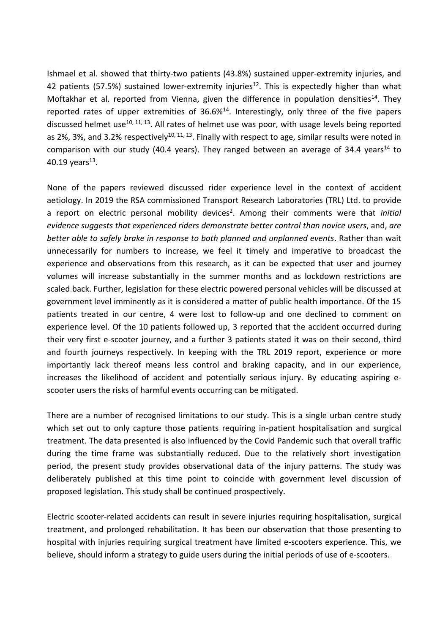Ishmael et al. showed that thirty-two patients (43.8%) sustained upper-extremity injuries, and 42 patients (57.5%) sustained lower-extremity injuries<sup>12</sup>. This is expectedly higher than what Moftakhar et al. reported from Vienna, given the difference in population densities<sup>14</sup>. They reported rates of upper extremities of  $36.6\%$ <sup>14</sup>. Interestingly, only three of the five papers discussed helmet use<sup>10, 11, 13</sup>. All rates of helmet use was poor, with usage levels being reported as 2%, 3%, and 3.2% respectively<sup>10, 11, 13</sup>. Finally with respect to age, similar results were noted in comparison with our study (40.4 years). They ranged between an average of 34.4 years<sup>14</sup> to 40.19 years<sup>13</sup>.

None of the papers reviewed discussed rider experience level in the context of accident aetiology. In 2019 the RSA commissioned Transport Research Laboratories (TRL) Ltd. to provide a report on electric personal mobility devices<sup>2</sup>. Among their comments were that *initial evidence suggests that experienced riders demonstrate better control than novice users*, and, *are better able to safely brake in response to both planned and unplanned events*. Rather than wait unnecessarily for numbers to increase, we feel it timely and imperative to broadcast the experience and observations from this research, as it can be expected that user and journey volumes will increase substantially in the summer months and as lockdown restrictions are scaled back. Further, legislation for these electric powered personal vehicles will be discussed at government level imminently as it is considered a matter of public health importance. Of the 15 patients treated in our centre, 4 were lost to follow-up and one declined to comment on experience level. Of the 10 patients followed up, 3 reported that the accident occurred during their very first e-scooter journey, and a further 3 patients stated it was on their second, third and fourth journeys respectively. In keeping with the TRL 2019 report, experience or more importantly lack thereof means less control and braking capacity, and in our experience, increases the likelihood of accident and potentially serious injury. By educating aspiring escooter users the risks of harmful events occurring can be mitigated.

There are a number of recognised limitations to our study. This is a single urban centre study which set out to only capture those patients requiring in-patient hospitalisation and surgical treatment. The data presented is also influenced by the Covid Pandemic such that overall traffic during the time frame was substantially reduced. Due to the relatively short investigation period, the present study provides observational data of the injury patterns. The study was deliberately published at this time point to coincide with government level discussion of proposed legislation. This study shall be continued prospectively.

Electric scooter-related accidents can result in severe injuries requiring hospitalisation, surgical treatment, and prolonged rehabilitation. It has been our observation that those presenting to hospital with injuries requiring surgical treatment have limited e-scooters experience. This, we believe, should inform a strategy to guide users during the initial periods of use of e-scooters.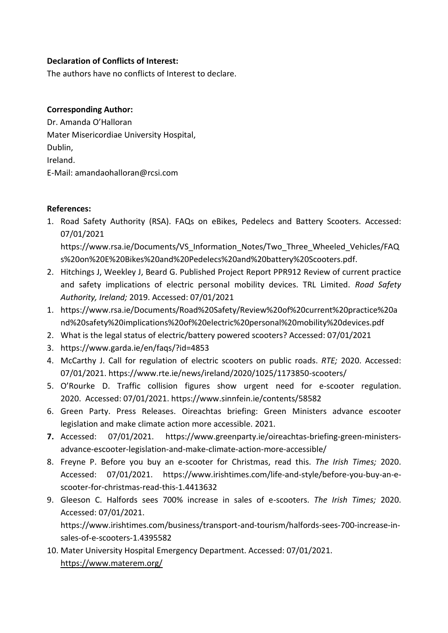# **Declaration of Conflicts of Interest:**

The authors have no conflicts of Interest to declare.

#### **Corresponding Author:**

Dr. Amanda O'Halloran Mater Misericordiae University Hospital, Dublin, Ireland. E-Mail: amandaohalloran@rcsi.com

## **References:**

1. Road Safety Authority (RSA). FAQs on eBikes, Pedelecs and Battery Scooters. Accessed: 07/01/2021

https://www.rsa.ie/Documents/VS\_Information\_Notes/Two\_Three\_Wheeled\_Vehicles/FAQ s%20on%20E%20Bikes%20and%20Pedelecs%20and%20battery%20Scooters.pdf.

- 2. Hitchings J, Weekley J, Beard G. Published Project Report PPR912 Review of current practice and safety implications of electric personal mobility devices. TRL Limited. *Road Safety Authority, Ireland;* 2019. Accessed: 07/01/2021
- 1. https://www.rsa.ie/Documents/Road%20Safety/Review%20of%20current%20practice%20a nd%20safety%20implications%20of%20electric%20personal%20mobility%20devices.pdf
- 2. What is the legal status of electric/battery powered scooters? Accessed: 07/01/2021
- 3. https://www.garda.ie/en/faqs/?id=4853
- 4. McCarthy J. Call for regulation of electric scooters on public roads. *RTE;* 2020. Accessed: 07/01/2021. https://www.rte.ie/news/ireland/2020/1025/1173850-scooters/
- 5. O'Rourke D. Traffic collision figures show urgent need for e-scooter regulation. 2020. Accessed: 07/01/2021. https://www.sinnfein.ie/contents/58582
- 6. Green Party. Press Releases. Oireachtas briefing: Green Ministers advance escooter legislation and make climate action more accessible. 2021.
- **7.** Accessed: 07/01/2021. https://www.greenparty.ie/oireachtas-briefing-green-ministersadvance-escooter-legislation-and-make-climate-action-more-accessible/
- 8. Freyne P. Before you buy an e-scooter for Christmas, read this. *The Irish Times;* 2020. Accessed: 07/01/2021. https://www.irishtimes.com/life-and-style/before-you-buy-an-escooter-for-christmas-read-this-1.4413632
- 9. Gleeson C. Halfords sees 700% increase in sales of e-scooters. *The Irish Times;* 2020. Accessed: 07/01/2021. https://www.irishtimes.com/business/transport-and-tourism/halfords-sees-700-increase-insales-of-e-scooters-1.4395582
- 10. Mater University Hospital Emergency Department. Accessed: 07/01/2021. <https://www.materem.org/>